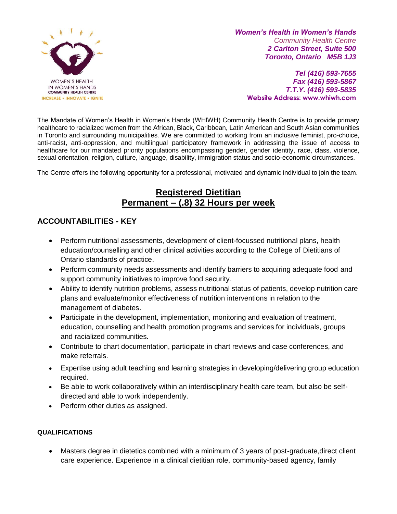

*Women's Health in Women's Hands Community Health Centre 2 Carlton Street, Suite 500 Toronto, Ontario M5B 1J3*

*Tel (416) 593-7655 Fax (416) 593-5867 T.T.Y. (416) 593-5835* **Website Address: www.whiwh.com**

The Mandate of Women's Health in Women's Hands (WHIWH) Community Health Centre is to provide primary healthcare to racialized women from the African, Black, Caribbean, Latin American and South Asian communities in Toronto and surrounding municipalities. We are committed to working from an inclusive feminist, pro-choice, anti-racist, anti-oppression, and multilingual participatory framework in addressing the issue of access to healthcare for our mandated priority populations encompassing gender, gender identity, race, class, violence, sexual orientation, religion, culture, language, disability, immigration status and socio-economic circumstances.

The Centre offers the following opportunity for a professional, motivated and dynamic individual to join the team.

# **Registered Dietitian Permanent – (.8) 32 Hours per week**

## **ACCOUNTABILITIES - KEY**

- Perform nutritional assessments, development of client-focussed nutritional plans, health education/counselling and other clinical activities according to the College of Dietitians of Ontario standards of practice.
- Perform community needs assessments and identify barriers to acquiring adequate food and support community initiatives to improve food security.
- Ability to identify nutrition problems, assess nutritional status of patients, develop nutrition care plans and evaluate/monitor effectiveness of nutrition interventions in relation to the management of diabetes.
- Participate in the development, implementation, monitoring and evaluation of treatment, education, counselling and health promotion programs and services for individuals, groups and racialized communities.
- Contribute to chart documentation, participate in chart reviews and case conferences, and make referrals.
- Expertise using adult teaching and learning strategies in developing/delivering group education required.
- Be able to work collaboratively within an interdisciplinary health care team, but also be selfdirected and able to work independently.
- Perform other duties as assigned.

### **QUALIFICATIONS**

• Masters degree in dietetics combined with a minimum of 3 years of post-graduate,direct client care experience. Experience in a clinical dietitian role, community-based agency, family